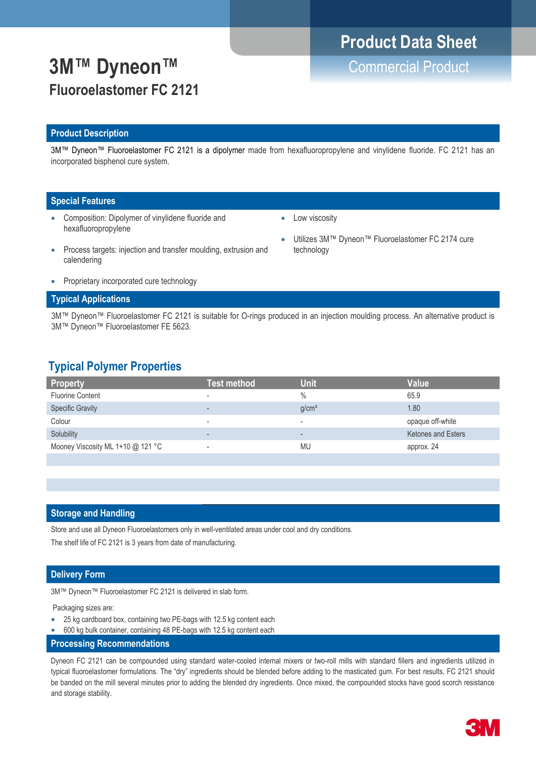# **Product Data Sheet**

Utilizes 3M™ Dyneon™ Fluoroelastomer FC 2174 cure

**3M™ Dyneon™** Commercial Product **Fluoroelastomer FC 2121**

### **Product Description**

3M™ Dyneon™ Fluoroelastomer FC 2121 is a dipolymer made from hexafluoropropylene and vinylidene fluoride. FC 2121 has an incorporated bisphenol cure system.

### **Special Features**

- Composition: Dipolymer of vinylidene fluoride and hexafluoropropylene
- Low viscosity

technology

- Process targets: injection and transfer moulding, extrusion and calendering
	- Proprietary incorporated cure technology

### **Typical Applications**

3M™ Dyneon™ Fluoroelastomer FC 2121 is suitable for O-rings produced in an injection moulding process. An alternative product is 3M™ Dyneon™ Fluoroelastomer FE 5623.

### **Typical Polymer Properties**

| <b>Property</b>                   | <b>Test method</b>       | <b>Unit</b>              | Value                     |
|-----------------------------------|--------------------------|--------------------------|---------------------------|
| Fluorine Content                  | $\overline{\phantom{a}}$ | $\frac{0}{0}$            | 65.9                      |
| <b>Specific Gravity</b>           | $\overline{\phantom{a}}$ | g/cm <sup>3</sup>        | 1.80                      |
| Colour                            | $\overline{\phantom{a}}$ | ۰                        | opaque off-white          |
| Solubility                        | $\overline{\phantom{a}}$ | $\overline{\phantom{a}}$ | <b>Ketones and Esters</b> |
| Mooney Viscosity ML 1+10 @ 121 °C | $\overline{\phantom{a}}$ | <b>MU</b>                | approx. 24                |
|                                   |                          |                          |                           |

### **Storage and Handling**

Store and use all Dyneon Fluoroelastomers only in well-ventilated areas under cool and dry conditions.

The shelf life of FC 2121 is 3 years from date of manufacturing.

### **Delivery Form**

3M™ Dyneon™ Fluoroelastomer FC 2121 is delivered in slab form.

Packaging sizes are:

- 25 kg cardboard box, containing two PE-bags with 12.5 kg content each
- 600 kg bulk container, containing 48 PE-bags with 12.5 kg content each

### **Processing Recommendations**

Dyneon FC 2121 can be compounded using standard water-cooled internal mixers or two-roll mills with standard fillers and ingredients utilized in typical fluoroelastomer formulations. The "dry" ingredients should be blended before adding to the masticated gum. For best results, FC 2121 should be banded on the mill several minutes prior to adding the blended dry ingredients. Once mixed, the compounded stocks have good scorch resistance and storage stability.

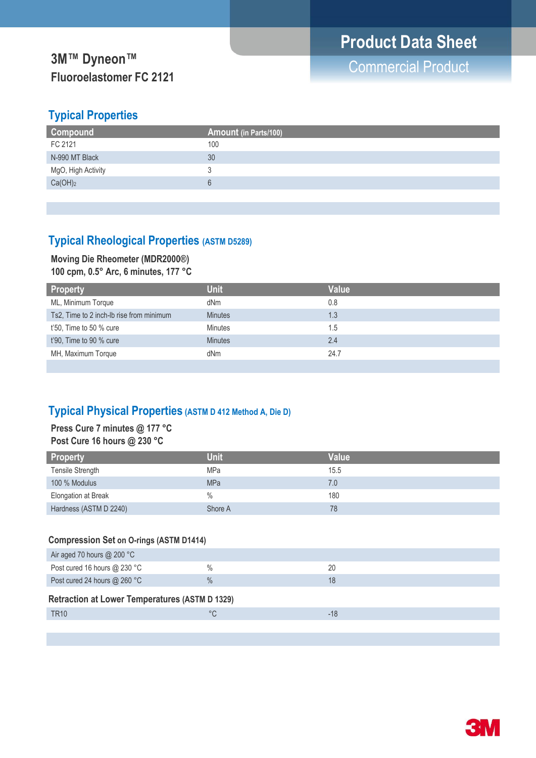# **3M™ Dyneon™**<br>
The Commercial Product **Fluoroelastomer FC 2121**

## **Typical Properties**

| <b>Compound</b>     | Amount (in Parts/100) |
|---------------------|-----------------------|
| FC 2121             | 100                   |
| N-990 MT Black      | 30                    |
| MgO, High Activity  |                       |
| Ca(OH) <sub>2</sub> |                       |
|                     |                       |

## **Typical Rheological Properties (ASTM D5289)**

## **Moving Die Rheometer (MDR2000®)**

**100 cpm, 0.5° Arc, 6 minutes, 177 °C**

| <b>Property</b>                          | <b>Unit</b>    | <b>Value</b> |
|------------------------------------------|----------------|--------------|
| ML, Minimum Torque                       | dNm            | 0.8          |
| Ts2, Time to 2 inch-Ib rise from minimum | <b>Minutes</b> | 1.3          |
| $t'50$ , Time to 50 % cure               | <b>Minutes</b> | 1.5          |
| t'90, Time to 90 % cure                  | <b>Minutes</b> | 2.4          |
| MH, Maximum Torque                       | dNm            | 24.7         |
|                                          |                |              |

## **Typical Physical Properties (ASTM D 412 Method A, Die D)**

### **Press Cure 7 minutes @ 177 °C Post Cure 16 hours @ 230 °C**

| <b>Property</b>            | <b>Unit</b> | <b>Value</b> |
|----------------------------|-------------|--------------|
| Tensile Strength           | <b>MPa</b>  | 15.5         |
| 100 % Modulus              | <b>MPa</b>  | 7.0          |
| <b>Elongation at Break</b> | $\%$        | 180          |
| Hardness (ASTM D 2240)     | Shore A     | 78           |

### **Compression Set on O-rings (ASTM D1414)**

| Air aged 70 hours $@$ 200 °C                          |               |       |
|-------------------------------------------------------|---------------|-------|
| Post cured 16 hours $@$ 230 °C                        | $\frac{0}{0}$ | 20    |
| Post cured 24 hours @ 260 °C                          | $\frac{0}{0}$ | 18    |
| <b>Retraction at Lower Temperatures (ASTM D 1329)</b> |               |       |
| <b>TR10</b>                                           | °C            | $-18$ |
|                                                       |               |       |